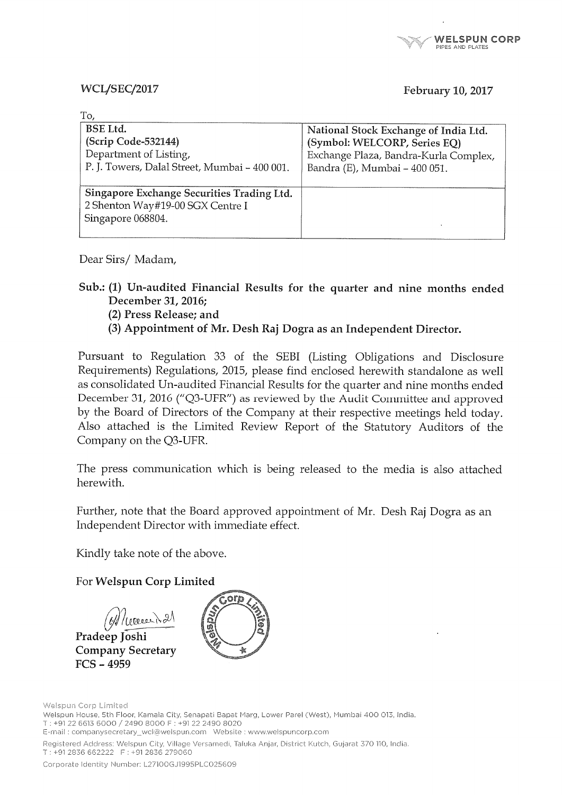#### **WCL/SEC/2017**

ern i

#### February 10, 2017

| National Stock Exchange of India Ltd. |
|---------------------------------------|
| (Symbol: WELCORP, Series EQ)          |
| Exchange Plaza, Bandra-Kurla Complex, |
| Bandra (E), Mumbai - 400 051.         |
|                                       |
|                                       |
|                                       |
|                                       |
|                                       |
|                                       |

Dear Sirs/Madam,

Sub.: (1) Un-audited Financial Results for the quarter and nine months ended December 31, 2016;

(2) Press Release; and

(3) Appointment of Mr. Desh Raj Dogra as an Independent Director.

Pursuant to Regulation 33 of the SEBI (Listing Obligations and Disclosure Requirements) Regulations, 2015, please find enclosed herewith standalone as well as consolidated Un-audited Financial Results for the quarter and nine months ended December 31, 2016 ("Q3-UFR") as reviewed by the Audit Committee and approved by the Board of Directors of the Company at their respective meetings held today. Also attached is the Limited Review Report of the Statutory Auditors of the Company on the Q3-UFR.

The press communication which is being released to the media is also attached herewith.

Further, note that the Board approved appointment of Mr. Desh Raj Dogra as an Independent Director with immediate effect.

Kindly take note of the above.

For Welspun Corp Limited

//coeserN21

Pradeep Joshi **Company Secretary**  $FCS - 4959$ 



Welspun Corp Limited Welspun House, 5th Floor, Kamala City, Senapati Bapat Marg, Lower Parel (West), Mumbai 400 013, India. T: +91 22 6613 6000 / 2490 8000 F: +91 22 2490 8020 Registered Address: Welspun City, Village Versamedi, Taluka Anjar, District Kutch, Gujarat 370 110, India. T: +91 2836 662222 F: +91 2836 279060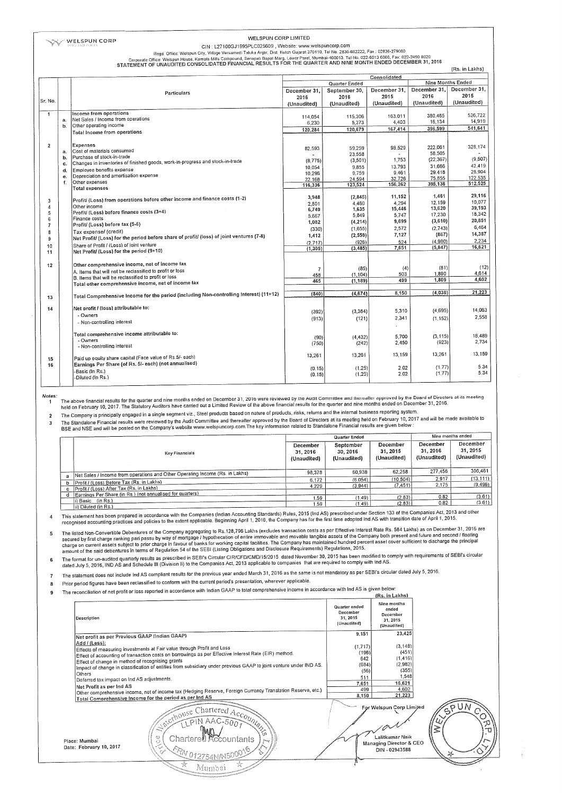#### WELSPUN CORP LIMITED

CIN : L27100GJ1995PLC025609 , Website: www.welspuncorp.com<br>Regd. Office: Welspun City, Village Versamedi Taluka Anjar, Dist. Kutch Gujarat 370110. Tiel No. 28356-272, Fax : 02836-279060<br>Corporate Office: Welspun Alouse, Ka

|                          |    |                                                                                          |                     |                                           |              |               | (Rs. in Lakhs) |  |
|--------------------------|----|------------------------------------------------------------------------------------------|---------------------|-------------------------------------------|--------------|---------------|----------------|--|
|                          |    |                                                                                          | Consolidated        |                                           |              |               |                |  |
|                          |    |                                                                                          |                     | <b>Nine Months Ended</b><br>Quarter Ended |              |               |                |  |
|                          |    |                                                                                          | December 31.        | September 30,                             | December 31. | December 31.  | December 31,   |  |
|                          |    | Particulars                                                                              | 2016                | 2016                                      | 2015         | 2016          | 2015           |  |
| Sr. No.                  |    |                                                                                          | (Unaudited)         | (Unaudited)                               | (Unaudited)  | (Unaudited)   | (Unaudited)    |  |
|                          |    |                                                                                          |                     |                                           |              |               |                |  |
| $\mathbf{1}$             |    | Income from operations                                                                   | 114.054             | 115,306                                   | 163,011      | 380,465       | 526,722        |  |
|                          | a. | Net Sales / Income from operations                                                       | 6,230               | 5,373                                     | 4,403        | 16.134        | 14,919         |  |
|                          | b. | Other operating income                                                                   |                     | 120,679                                   | 167,414      | 396,599       | 541,641        |  |
|                          |    | Total Income from operations                                                             | 120,284             |                                           |              |               |                |  |
|                          |    |                                                                                          |                     |                                           |              |               |                |  |
| $\overline{2}$           |    | Expenses                                                                                 |                     | 59.259                                    | 98,529       | 222.061       | 328,174        |  |
|                          | a. | Cost of materials consumed                                                               | 82,593              | 23.558                                    |              | 58.505        |                |  |
|                          | b. | Purchase of stock-in-trade                                                               | (8.775)             | (3, 501)                                  | 1.753        | (22, 367)     | (9, 507)       |  |
|                          | c. | Changes in inventories of finished goods, work-in-progress and stock-in-trade            |                     | 9.855                                     | 13,793       | 31,666        | 42.419         |  |
|                          | d. | Employee benefits expense                                                                | 10.054              | 9.759                                     | 9,461        | 29.418        | 28,904         |  |
|                          | e. | Depreciation and amortisation expense                                                    | 10.296<br>22.168    | 24.594                                    | 32.726       | 75,855        | 122,535        |  |
|                          | f. | Other expenses                                                                           | 116,336             | 123,524                                   | 156,262      | 395,138       | 512,525        |  |
|                          |    | <b>Total expenses</b>                                                                    |                     |                                           |              |               |                |  |
|                          |    |                                                                                          | 3,948               | (2,845)                                   | 11,152       | 1.461         | 29,116         |  |
| 3                        |    | Profit/ (Loss) from operations before other income and finance costs (1-2)               | 2.801               | 4,480                                     | 4.294        | 12.159        | 10.077         |  |
| 4                        |    | Other income                                                                             | 6,749               | 1,635                                     | 15,446       | 13,620        | 39.193         |  |
| 5                        |    | Profit/ (Loss) before finance costs (3+4)                                                | 5,667               | 5.849                                     | 5,747        | 17,230        | 18,342         |  |
| 6                        |    | Finance costs                                                                            | 1,082               | (4, 214)                                  | 9,699        | (3,610)       | 20,851         |  |
| $\overline{\mathcal{L}}$ |    | Profit/ (Loss) before tax (5-6)                                                          | (330)               | (1.655)                                   | 2,572        | (2.743)       | 6,464          |  |
| 8                        |    | Tax expense/ (credit)                                                                    | 1,412               | (2, 559)                                  | 7,127        | (867)         | 14,387         |  |
| 9                        |    | Net Profit/ (Loss) for the period before share of profit/ (loss) of joint ventures (7-8) |                     | (926)                                     | 524          | (4.980)       | 2,234          |  |
| 10                       |    | Share of Profit / (Loss) of joint venture                                                | (2.717)<br>(1, 305) | (3, 485)                                  | 7,651        | (5, 847)      | 16.621         |  |
| 11                       |    | Net Profit/ (Loss) for the period (9+10)                                                 |                     |                                           |              |               |                |  |
|                          |    |                                                                                          |                     |                                           |              |               |                |  |
| 12                       |    | Other comprehensive income, net of income tax                                            |                     |                                           |              |               | (12)           |  |
|                          |    | A, Items that will not be reclassified to profit or loss                                 | $\overline{7}$      | (85)                                      | (4)          | (81)<br>1,890 | 4,614          |  |
|                          |    | B. Items that will be reclassified to profit or loss                                     | 458                 | (1, 104)                                  | 503<br>499   | 1.809         | 4.602          |  |
|                          |    | Total other comprehensive income, net of income tax                                      | 465                 | (1, 189)                                  |              |               |                |  |
|                          |    |                                                                                          |                     |                                           |              | (4.038)       | 21,223         |  |
| 13                       |    | Total Comprehensive Income for the period (including Non-controlling Interest) (11+12)   | (840)               | (4.674)                                   | 8,150        |               |                |  |
|                          |    |                                                                                          |                     |                                           |              |               |                |  |
| 14                       |    | Net profit / (loss) attributable to:                                                     | (392)               | (3, 364)                                  | 5,310        | (4.695)       | 14,063         |  |
|                          |    | - Owners                                                                                 |                     |                                           | 2,341        |               | 2,558          |  |
|                          |    | - Non-controlling interest                                                               | (913)               | (121)                                     |              | (1, 152)      |                |  |
|                          |    |                                                                                          |                     |                                           |              |               |                |  |
|                          |    | Total comprehensive income attributable to:                                              |                     | (4, 432)                                  | 5,700        | (3.115)       | 18,489         |  |
|                          |    | - Owners                                                                                 | (90)                | (242)                                     | 2,450        | (923)         | 2,734          |  |
|                          |    | - Non-controlling interest                                                               | (750)               |                                           |              |               |                |  |
|                          |    |                                                                                          | 13,261              | 13,261                                    | 13,159       | 13,261        | 13,159         |  |
| 15                       |    | Paid up equity share capital (Face value of Rs.5/- each)                                 |                     |                                           |              |               |                |  |
| 16                       |    | Earnings Per Share (of Rs. 5/- each) (not annualised)                                    |                     |                                           | 2.02         | (1.77)        | 5.34           |  |
|                          |    | Basic (in Rs.)                                                                           | (0.15)              | (1.25)<br>(1.25)                          | 2.02         | (1.77)        | 5.34           |  |
|                          |    | -Diluted (In Rs.)                                                                        | (0.15)              |                                           |              |               |                |  |

Notes:

The above financial results for the quarter and nine months ended on December 31, 2016 were reviewed by the Audit Committee and thereafter approved by the Board of Directors at its meeting<br>held on February 10, 2017. The St

The Company is principally engaged in a single segment viz., Steel products based on nature of products, risks, returns and the internal business reporting system.  $\overline{2}$ 

ليس محسوس والمعرفة المستقل المستقل المستقل المستقل المستقل المستقل المستقل المستقل المستقل المستقل المستقل الم<br>The Standalone Financial results were reviewed by the Audit Committee and thereafter approved by the Board of  $\overline{\mathbf{3}}$ 

|   |                                                                                       |                                     | Quarter Ended                       |                                     | Nine months ended                  |                                    |  |
|---|---------------------------------------------------------------------------------------|-------------------------------------|-------------------------------------|-------------------------------------|------------------------------------|------------------------------------|--|
|   | Key Financials                                                                        | December<br>31, 2016<br>(Unaudited) | September<br>30.2016<br>(Unaudited) | December<br>31, 2015<br>(Unaudited) | December<br>31.2016<br>(Unaudited) | December<br>31.2015<br>(Unaudited) |  |
|   | Net Sales / Income from operations and Other Operating Income (Rs. in Lakhs)          | 98.378                              | 60.938                              | 62.258                              | 277,456                            | 306,461                            |  |
| a |                                                                                       | 6,172                               | (6.054)                             | (10.504)                            | 2.917                              | (13.111)                           |  |
| h | Profit / (Loss) Before Tax (Rs. in Lakhs)<br>Profit / (Loss) After Tax (Rs. in Lakhs) | 4.229                               | (3,944)                             | (7.451)                             | 2.175                              | (9,496)                            |  |
| c |                                                                                       |                                     |                                     |                                     |                                    |                                    |  |
|   | Earnings Per Share (in Rs.) (not annualised for quarters)                             | 1.59                                | (1.49)                              | (2.83)                              | 0.82                               | (3.61)                             |  |
|   | ii) Basic (in Rs.)                                                                    | .59                                 | (1.49)                              | (2.83)                              | 0.82                               | (3.61)                             |  |
|   | lii) Diluted (in Rs.)                                                                 |                                     |                                     |                                     |                                    |                                    |  |

This statement has been prepared in accordance with the Companies (Indian Accounting Standards) Rules, 2015 (Ind AS) prescribed under Section 133 of the Companies Act, 2013 and other<br>recognised accounting practices and pol  $\overline{4}$ 

The listed Non-Convertible Debentures of the Company aggregating to Rs.128,796 Lakhs (excludes transaction costs as per Effective Interest Rate Rs. 584 Lakhs) as on December 31, 2016 are<br>secured by first charge ranking par 5

announced and securities in terms of regardence of a literature of the companies and securities representing regardence of the security of the second of the second of SEBI's circular<br>The format for un-audited quarterly res 6

The statement does not include Ind AS compliant results for the previous year ended March 31, 2016 as the same is not mandatory as per SEBI's circular dated July 5, 2016  $\overline{z}$ 

Prior period figures have been reclassified to conform with the current period's presentation, wherever applicable.  $\overline{\mathbf{8}}$ 

The reconciliation of net profit or loss reported in accordance with Indian GAAP to total comprehensive income in accordance with Ind AS is given below.  $\overline{a}$  $(D<sub>r</sub> - i<sub>n</sub> + n\lambda_{n})$ 

Mumbai

|                                                  |                                                                                                                   |                                                     | $103.11$ Lands                                              |          |
|--------------------------------------------------|-------------------------------------------------------------------------------------------------------------------|-----------------------------------------------------|-------------------------------------------------------------|----------|
| Description                                      |                                                                                                                   | Quarter ended<br>December<br>31.2015<br>(Unaudited) | Nine months<br>ended<br>December<br>31, 2015<br>(Unaudited) |          |
| Net profit as per Previous GAAP (Indian GAAP)    |                                                                                                                   | 9,151                                               | 23,425                                                      |          |
| Add / (Less):                                    |                                                                                                                   |                                                     |                                                             |          |
|                                                  | Effects of measuring investments at Fair value through Profit and Loss                                            | (1,717)                                             | (3, 148)                                                    |          |
|                                                  | Effect of accounting of transaction costs on borrowings as per Effective Interest Rate (EIR) method.              | (196)                                               | (451)                                                       |          |
| Effect of change in method of recognising grants |                                                                                                                   | 642                                                 | (1, 416)                                                    |          |
|                                                  | Impact of change in classification of entities from subsidiary under previous GAAP to joint venture under IND AS. | (684)                                               | (2,982)                                                     |          |
| Others                                           |                                                                                                                   | (56)                                                | (355)                                                       |          |
| Deferred tax impact on Ind AS adjustments.       |                                                                                                                   | 511                                                 | 1,548                                                       |          |
| Net Profit as per Ind AS                         |                                                                                                                   | 7.651                                               | 16,621<br>4.602                                             |          |
|                                                  | Other comprehensive income, net of income tax (Hedging Reserve, Foreign Currency Translation Reserve, etc.)       | 499<br>8,150                                        | 21,223                                                      |          |
|                                                  | Total Comprehensive Income for the period as per Ind AS                                                           |                                                     |                                                             |          |
|                                                  | Chartered Account                                                                                                 |                                                     | For Welspun Corp Limited                                    | UM       |
| Place: Mumbai                                    | LONGS CO.<br>∼<br>43<br>Chartered <b>Accountants</b><br>O                                                         |                                                     | Lalitkumar Naik                                             | -70<br>ு |
| Date: February 10, 2017                          | $R_{N01275}$                                                                                                      |                                                     | Managing Director & CEO<br>DIN - 02943588                   | 墨        |
|                                                  |                                                                                                                   |                                                     |                                                             |          |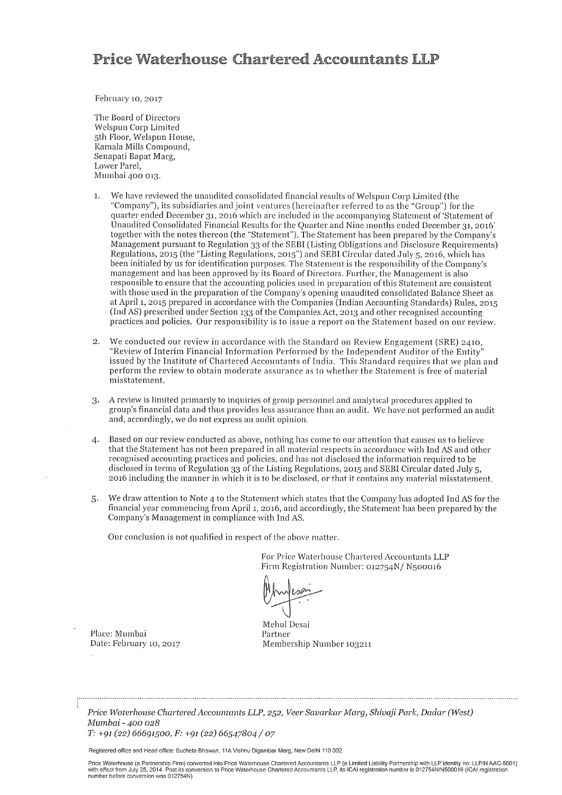### **Price Waterhouse Chartered Accountants LLP**

February 10, 2017

The Board of Directors Welspun Corp Limited 5th Floor, Welspun House, Kamala Mills Compound, Senapati Bapat Marg, Lower Parel, Mumbai 400 013.

- We have reviewed the unaudited consolidated financial results of Welspun Corp Limited (the  $\mathbf{1}$ . "Company"), its subsidiaries and joint ventures (hereinafter referred to as the "Group") for the quarter ended December 31, 2016 which are included in the accompanying Statement of 'Statement of Unaudited Consolidated Financial Results for the Quarter and Nine months ended December 31, 2016' together with the notes thereon (the "Statement"). The Statement has been prepared by the Company's Management pursuant to Regulation 33 of the SEBI (Listing Obligations and Disclosure Requirements) Regulations, 2015 (the "Listing Regulations, 2015") and SEBI Circular dated July 5, 2016, which has been initialed by us for identification purposes. The Statement is the responsibility of the Company's management and has been approved by its Board of Directors. Further, the Management is also responsible to ensure that the accounting policies used in preparation of this Statement are consistent with those used in the preparation of the Company's opening unaudited consolidated Balance Sheet as at April 1, 2015 prepared in accordance with the Companies (Indian Accounting Standards) Rules, 2015 (Ind AS) prescribed under Section 133 of the Companies Act, 2013 and other recognised accounting practices and policies. Our responsibility is to issue a report on the Statement based on our review.
- We conducted our review in accordance with the Standard on Review Engagement (SRE) 2410,  $\mathbf{D}$ . "Review of Interim Financial Information Performed by the Independent Auditor of the Entity" issued by the Institute of Chartered Accountants of India. This Standard requires that we plan and perform the review to obtain moderate assurance as to whether the Statement is free of material misstatement.
- A review is limited primarily to inquiries of group personnel and analytical procedures applied to 3. group's financial data and thus provides less assurance than an audit. We have not performed an audit and, accordingly, we do not express an audit opinion.
- Based on our review conducted as above, nothing has come to our attention that causes us to believe  $\mathbf{4}$ that the Statement has not been prepared in all material respects in accordance with Ind AS and other recognised accounting practices and policies, and has not disclosed the information required to be disclosed in terms of Regulation 33 of the Listing Regulations, 2015 and SEBI Circular dated July 5, 2016 including the manner in which it is to be disclosed, or that it contains any material misstatement.
- We draw attention to Note 4 to the Statement which states that the Company has adopted Ind AS for the 5. financial year commencing from April 1, 2016, and accordingly, the Statement has been prepared by the Company's Management in compliance with Ind AS.

Our conclusion is not qualified in respect of the above matter.

For Price Waterhouse Chartered Accountants LLP Firm Registration Number: 012754N/ N500016

Mehul Desai Partner Membership Number 103211

Place: Mumbai Date: February 10, 2017

Price Waterhouse Chartered Accountants LLP, 252, Veer Savarkar Marg, Shivaji Park, Dadar (West) Mumbai - 400 028  $T: +91(22) 66691500, F: +91(22) 66547804 / 07$ 

Registered office and Head office: Sucheta Bhawan, 11A Vishnu Digambar Marg, New Delhi 110 002

Price Waterhouse (a Partnership Firm) converted into Price Waterhouse Chartered Accountants LLP (a Limited Liability Partnership with LLP identity no: LLPIN AAC-5001)<br>with effect from July 25, 2014. Post its conversion to number before conversion was 012754N)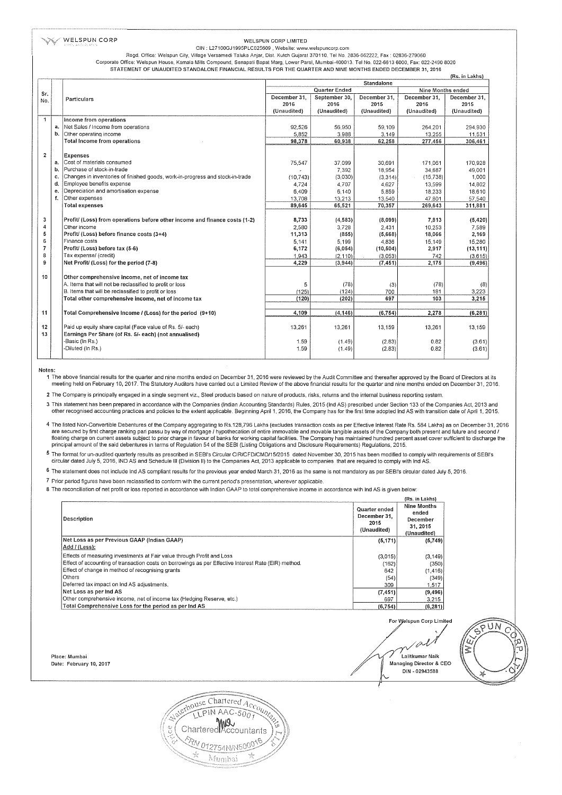#### WELSPUN CORP

#### WELSPUN CORP LIMITED

CIN: L27100GJ1995PLC025609, Website: www.welspuncorp.com Regd. Office: Welspun City, Village Versamedi Taluka Anjar, Dist. Kutch Gujarat 370110. Tel No. 2836-662222, Fax : 02836-279060

Corporate Office: Welspun House, Kamala Mills Compound, Senapati Bapat Marg, Lower Parel, Mumbai-400013. Tel No. 022-6613 6000, Fax: 022-2490 8020<br>STATEMENT OF UNAUDITED STANDALONE FINANCIAL RESULTS FOR THE QUARTER AND NIN

|                |          |                                                                                                                  | (RS. In Lakhs)<br>Standalone |               |              |                   |              |
|----------------|----------|------------------------------------------------------------------------------------------------------------------|------------------------------|---------------|--------------|-------------------|--------------|
|                |          |                                                                                                                  |                              | Quarter Ended |              | Nine Months ended |              |
| Sr.            |          |                                                                                                                  | December 31.                 | September 30. | December 31. | December 31.      | December 31, |
| No.            |          | Particulars                                                                                                      | 2016                         | 2016          | 2015         | 2016              | 2015         |
|                |          |                                                                                                                  | (Unaudited)                  | (Unaudited)   | (Unaudited)  | (Unaudited)       | (Unaudited)  |
| $\mathbf{1}$   |          |                                                                                                                  |                              |               |              |                   |              |
|                |          | Income from operations<br>Net Sales / Income from operations                                                     |                              |               |              |                   |              |
|                | a.<br>b. |                                                                                                                  | 92.526                       | 56,950        | 59.109       | 264.201           | 294.930      |
|                |          | Other operating income                                                                                           | 5,852                        | 3,988         | 3.149        | 13,255            | 11,531       |
|                |          | Total Income from operations                                                                                     | 98,378                       | 60,938        | 62,258       | 277,456           | 306,461      |
| $\overline{2}$ |          | Expenses                                                                                                         |                              |               |              |                   |              |
|                | a.       | Cost of materials consumed                                                                                       | 75,547                       | 37,099        | 30.691       | 171,061           | 170,928      |
|                | ъ.       | Purchase of stock-in-trade                                                                                       |                              | 7,392         | 18,954       | 34,687            | 49,001       |
|                | c.       | Changes in inventories of finished goods, work-in-progress and stock-in-trade                                    | (10.743)                     | (3,030)       | (3.314)      | (15, 738)         | 1,000        |
|                | d.       | Employee benefits expense                                                                                        | 4.724                        | 4,707         | 4.627        | 13,599            | 14,802       |
|                | e.       | Depreciation and amortisation expense                                                                            | 6,409                        | 6,140         | 5,859        | 18,233            | 18,610       |
|                | f.       | Other expenses                                                                                                   | 13,708                       | 13,213        | 13.540       | 47,801            | 57,540       |
|                |          | <b>Total expenses</b>                                                                                            | 89,645                       | 65,521        | 70,357       | 269,643           | 311,881      |
|                |          |                                                                                                                  |                              |               |              |                   |              |
| 3              |          | Profit/ (Loss) from operations before other income and finance costs (1-2)                                       | 8,733                        | (4, 583)      | (8,099)      | 7,813             | (5, 420)     |
| 4              |          | Other income                                                                                                     | 2,580                        | 3,728         | 2.431        | 10.253            | 7,589        |
| 5              |          | Profit/ (Loss) before finance costs (3+4)                                                                        | 11,313                       | (855)         | (5,668)      | 18,066            | 2,169        |
| 6              |          | Finance costs                                                                                                    | 5.141                        | 5,199         | 4,836        | 15,149            | 15,280       |
| 7              |          | Profit/ (Loss) before tax (5-6)                                                                                  | 6,172                        | (6,054)       | (10, 504)    | 2,917             | (13, 111)    |
| 8              |          | Tax expense/ (credit)                                                                                            | 1,943                        | (2, 110)      | (3,053)      | 742               | (3.615)      |
| 9              |          | Net Profit/ (Loss) for the period (7-8)                                                                          | 4,229                        | (3,944)       | (7, 451)     | 2,175             | (9, 496)     |
|                |          |                                                                                                                  |                              |               |              |                   |              |
| 10             |          | Other comprehensive income, net of income tax                                                                    |                              |               |              |                   |              |
|                |          | A. Items that will not be reclassified to profit or loss<br>B. Items that will be reclassified to profit or loss | 5                            | (78)          | (3)          | (78)              | (8)          |
|                |          |                                                                                                                  | (125)<br>(120)               | (124)         | 700<br>697   | 181<br>103        | 3,223        |
|                |          | Total other comprehensive income, net of income tax                                                              |                              | (202)         |              |                   | 3,215        |
| 11             |          | Total Comprehensive Income / (Loss) for the period (9+10)                                                        | 4,109                        | (4, 146)      | (6, 754)     | 2,278             | (6, 281)     |
|                |          |                                                                                                                  |                              |               |              |                   |              |
| 12             |          | Paid up equity share capital (Face value of Rs. 5/- each)                                                        | 13,261                       | 13,261        | 13,159       | 13,261            | 13,159       |
| 13             |          | Earnings Per Share (of Rs. 5/- each) (not annualised)                                                            |                              |               |              |                   |              |
|                |          | -Basic (In Rs.)                                                                                                  | 1.59                         | (1.49)        | (2.83)       | 0.82              | (3.61)       |
|                |          | -Diluted (In Rs.)                                                                                                | 1.59                         | (1.49)        | (2.83)       | 0.82              | (3.61)       |
|                |          |                                                                                                                  |                              |               |              |                   |              |
|                |          |                                                                                                                  |                              |               |              |                   |              |

Notes:

meeting held on February 10, 2017. The Statutory Auditors have carried out a Limited Review of the above financial results for the quarter and nine months ended on December 31, 2016.

2 The Company is principally engaged in a single segment viz., Steel products based on nature of products, risks, returns and the internal business reporting system.

3 This statement has been prepared in accordance with the Companies (Indian Accounting Standards) Rules, 2015 (Ind AS) prescribed under Section 133 of the Companies Act, 2013 and<br>1, 2015 other recognised accounting practic

4 The listed Non-Convertible Debentures of the Company aggregating to Rs.128,796 Lakhs (excludes transaction costs as per Effective Interest Rate Rs. 584 Lakhs) as on December 31, 2016 are secured by first charge ranking pari passu by way of mortgage / hypothecation of entire immovable and movable and movable tangible assets of the Company both present and future and second /<br>The secured by first charge principal amount of the said debentures in terms of Regulation 54 of the SEBI (Listing Obligations and Disclosure Requirements) Regulations, 2015.

5 The format for un-audited quarterly results as prescribed in SEBI's Circular CIR/CFD/CMD/15/2015 dated November 30, 2015 has been modified to comply with requirements of SEBI's circular dated July 5, 2016, IND AS and Sch

6 The statement does not include Ind AS compliant results for the previous year ended March 31, 2016 as the same is not mandatory as per SEBI's circular dated July 5, 2016.

7 Prior period figures have been reclassified to conform with the current period's presentation, wherever applicable.

8 The reconciliation of net profit or loss reported in accordance with Indian GAAP to total comprehensive income in accordance with Ind AS is given below:

| Description                                                                                          | Quarter ended<br>December 31.<br>2015<br>(Unaudited) | Nine Months<br>ended<br>December<br>31, 2015<br>(Unaudited) |
|------------------------------------------------------------------------------------------------------|------------------------------------------------------|-------------------------------------------------------------|
| Net Loss as per Previous GAAP (Indian GAAP)                                                          | (5, 171)                                             | (5,749)                                                     |
| Add / (Less):                                                                                        |                                                      |                                                             |
| Effects of measuring investments at Fair value through Profit and Loss                               | (3,015)                                              | (3, 149)                                                    |
| Effect of accounting of transaction costs on borrowings as per Effective Interest Rate (EIR) method. | (162)                                                | (350)                                                       |
| Effect of change in method of recognising grants                                                     | 642                                                  | (1, 416)                                                    |
| Others                                                                                               | (54)                                                 | (349)                                                       |
| Deferred tax impact on Ind AS adjustments.                                                           | 309                                                  | 1,517                                                       |
| Net Loss as per Ind AS                                                                               | (7, 451)                                             | (9, 496)                                                    |
| Other comprehensive income, net of income tax (Hedging Reserve, etc.)                                | 697                                                  | 3,215                                                       |
| Total Comprehensive Loss for the period as per ind AS                                                | (6.754)                                              | (6, 281)                                                    |

Place: Mumbai Date: February 10, 2017

For Welspun Corp Limited 'i ,<br>Lalitkumar Naik Managing Director & CEO DIN - 02943588



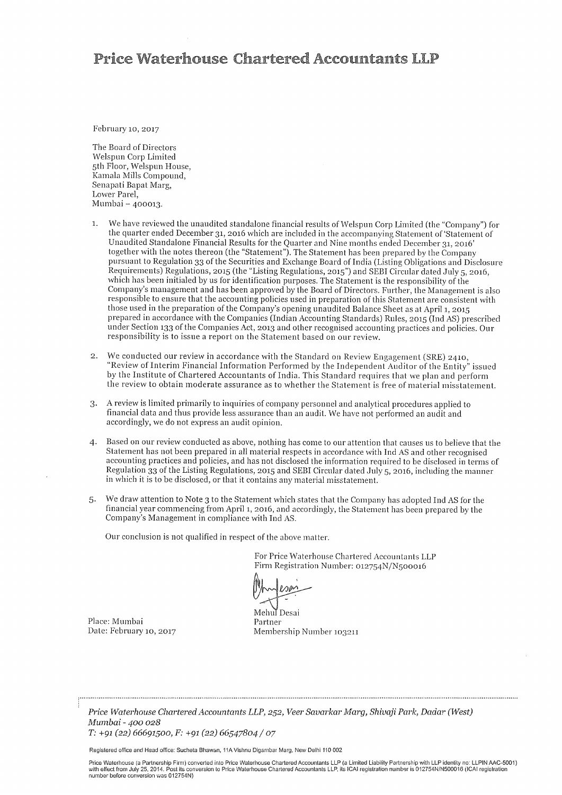### **Price Waterhouse Chartered Accountants I.I.P**

February 10, 2017

The Board of Directors Welspun Corp Limited 5th Floor, Welspun House, Kamala Mills Compound, Senapati Bapat Marg, Lower Parel. Mumbai - 400013.

- We have reviewed the unaudited standalone financial results of Welspun Corp Limited (the "Company") for  $\overline{1}$ . the quarter ended December 31, 2016 which are included in the accompanying Statement of 'Statement of Unaudited Standalone Financial Results for the Quarter and Nine months ended December 31, 2016' together with the notes thereon (the "Statement"). The Statement has been prepared by the Company pursuant to Regulation 33 of the Securities and Exchange Board of India (Listing Obligations and Disclosure Requirements) Regulations, 2015 (the "Listing Regulations, 2015") and SEBI Circular dated July 5, 2016, which has been initialed by us for identification purposes. The Statement is the responsibility of the Company's management and has been approved by the Board of Directors. Further, the Management is also responsible to ensure that the accounting policies used in preparation of this Statement are consistent with those used in the preparation of the Company's opening unaudited Balance Sheet as at April 1, 2015 prepared in accordance with the Companies (Indian Accounting Standards) Rules, 2015 (Ind AS) prescribed under Section 133 of the Companies Act, 2013 and other recognised accounting practices and policies. Our responsibility is to issue a report on the Statement based on our review.
- 2. We conducted our review in accordance with the Standard on Review Engagement (SRE) 2410, "Review of Interim Financial Information Performed by the Independent Auditor of the Entity" issued by the Institute of Chartered Accountants of India. This Standard requires that we plan and perform the review to obtain moderate assurance as to whether the Statement is free of material misstatement.
- 3. A review is limited primarily to inquiries of company personnel and analytical procedures applied to financial data and thus provide less assurance than an audit. We have not performed an audit and accordingly, we do not express an audit opinion.
- Based on our review conducted as above, nothing has come to our attention that causes us to believe that the  $\mathbf{4}$ . Statement has not been prepared in all material respects in accordance with Ind AS and other recognised accounting practices and policies, and has not disclosed the information required to be disclosed in terms of Regulation 33 of the Listing Regulations, 2015 and SEBI Circular dated July 5, 2016, including the manner in which it is to be disclosed, or that it contains any material misstatement.
- We draw attention to Note 3 to the Statement which states that the Company has adopted Ind AS for the  $5.$ financial year commencing from April 1, 2016, and accordingly, the Statement has been prepared by the Company's Management in compliance with Ind AS.

Our conclusion is not qualified in respect of the above matter.

For Price Waterhouse Chartered Accountants LLP Firm Registration Number: 012754N/N500016

Mehul Desai

Place: Mumbai Date: February 10, 2017

Partner Membership Number 103211

Price Waterhouse Chartered Accountants LLP, 252, Veer Savarkar Marg, Shivaji Park, Dadar (West) Mumbai - 400 028 T: +91 (22) 66691500, F: +91 (22) 66547804 / 07

Registered office and Head office: Sucheta Bhawan, 11A Vishnu Digambar Marg, New Delhi 110 002

Price Waterhouse (a Partnership Firm) converted into Price Waterhouse Chartered Accountants LLP (a Limited Liability Partnership with LLP identity no: LLPIN AAC-5001)<br>with effect from July 25, 2014. Post its conversion to number before conversion was 012754N)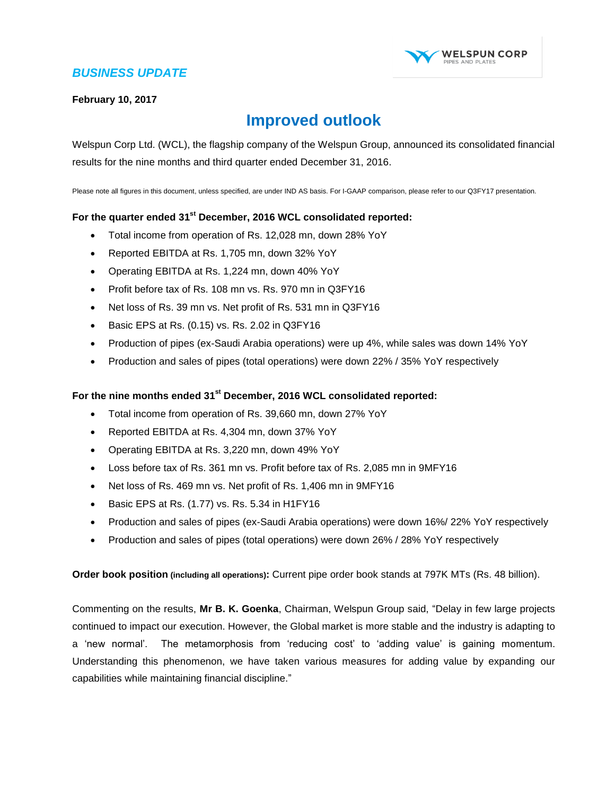

#### **February 10, 2017**

### **Improved outlook**

Welspun Corp Ltd. (WCL), the flagship company of the Welspun Group, announced its consolidated financial results for the nine months and third quarter ended December 31, 2016.

Please note all figures in this document, unless specified, are under IND AS basis. For I-GAAP comparison, please refer to our Q3FY17 presentation.

#### **For the quarter ended 31 st December, 2016 WCL consolidated reported:**

- Total income from operation of Rs. 12,028 mn, down 28% YoY
- Reported EBITDA at Rs. 1,705 mn, down 32% YoY
- Operating EBITDA at Rs. 1,224 mn, down 40% YoY
- Profit before tax of Rs. 108 mn vs. Rs. 970 mn in Q3FY16
- Net loss of Rs. 39 mn vs. Net profit of Rs. 531 mn in Q3FY16
- Basic EPS at Rs.  $(0.15)$  vs. Rs. 2.02 in Q3FY16
- Production of pipes (ex-Saudi Arabia operations) were up 4%, while sales was down 14% YoY
- Production and sales of pipes (total operations) were down 22% / 35% YoY respectively

#### **For the nine months ended 31 st December, 2016 WCL consolidated reported:**

- Total income from operation of Rs. 39,660 mn, down 27% YoY
- Reported EBITDA at Rs. 4,304 mn, down 37% YoY
- Operating EBITDA at Rs. 3,220 mn, down 49% YoY
- Loss before tax of Rs. 361 mn vs. Profit before tax of Rs. 2,085 mn in 9MFY16
- Net loss of Rs. 469 mn vs. Net profit of Rs. 1,406 mn in 9MFY16
- Basic EPS at Rs.  $(1.77)$  vs. Rs. 5.34 in H1FY16
- Production and sales of pipes (ex-Saudi Arabia operations) were down 16%/ 22% YoY respectively
- Production and sales of pipes (total operations) were down 26% / 28% YoY respectively

**Order book position (including all operations):** Current pipe order book stands at 797K MTs (Rs. 48 billion).

Commenting on the results, **Mr B. K. Goenka**, Chairman, Welspun Group said, "Delay in few large projects continued to impact our execution. However, the Global market is more stable and the industry is adapting to a 'new normal'. The metamorphosis from 'reducing cost' to 'adding value' is gaining momentum. Understanding this phenomenon, we have taken various measures for adding value by expanding our capabilities while maintaining financial discipline."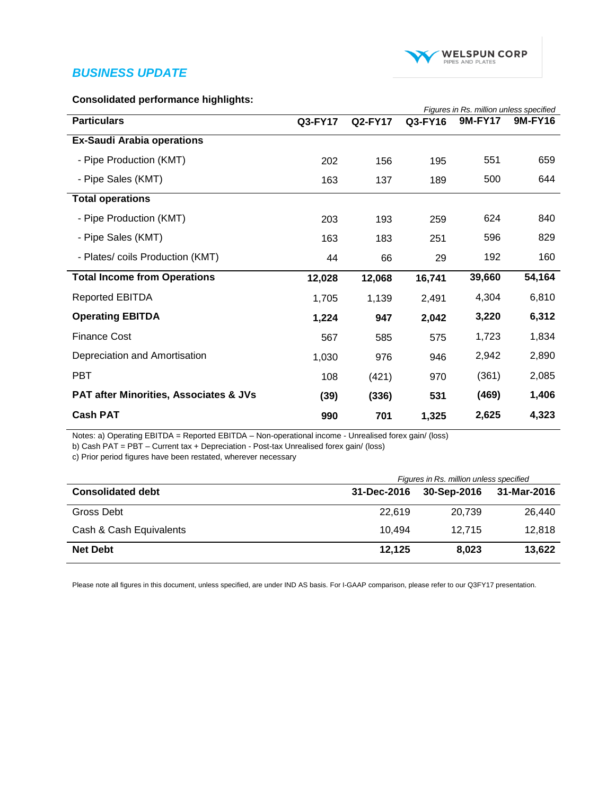

#### **Consolidated performance highlights:**

|                                                   |         | Figures in Rs. million unless specified |         |                |         |  |
|---------------------------------------------------|---------|-----------------------------------------|---------|----------------|---------|--|
| <b>Particulars</b>                                | Q3-FY17 | <b>Q2-FY17</b>                          | Q3-FY16 | <b>9M-FY17</b> | 9M-FY16 |  |
| <b>Ex-Saudi Arabia operations</b>                 |         |                                         |         |                |         |  |
| - Pipe Production (KMT)                           | 202     | 156                                     | 195     | 551            | 659     |  |
| - Pipe Sales (KMT)                                | 163     | 137                                     | 189     | 500            | 644     |  |
| <b>Total operations</b>                           |         |                                         |         |                |         |  |
| - Pipe Production (KMT)                           | 203     | 193                                     | 259     | 624            | 840     |  |
| - Pipe Sales (KMT)                                | 163     | 183                                     | 251     | 596            | 829     |  |
| - Plates/ coils Production (KMT)                  | 44      | 66                                      | 29      | 192            | 160     |  |
| <b>Total Income from Operations</b>               | 12,028  | 12,068                                  | 16,741  | 39,660         | 54,164  |  |
| <b>Reported EBITDA</b>                            | 1,705   | 1,139                                   | 2,491   | 4,304          | 6,810   |  |
| <b>Operating EBITDA</b>                           | 1,224   | 947                                     | 2,042   | 3,220          | 6,312   |  |
| <b>Finance Cost</b>                               | 567     | 585                                     | 575     | 1,723          | 1,834   |  |
| Depreciation and Amortisation                     | 1,030   | 976                                     | 946     | 2,942          | 2,890   |  |
| <b>PBT</b>                                        | 108     | (421)                                   | 970     | (361)          | 2,085   |  |
| <b>PAT after Minorities, Associates &amp; JVs</b> | (39)    | (336)                                   | 531     | (469)          | 1,406   |  |
| <b>Cash PAT</b>                                   | 990     | 701                                     | 1,325   | 2,625          | 4,323   |  |

Notes: a) Operating EBITDA = Reported EBITDA – Non-operational income - Unrealised forex gain/ (loss)

b) Cash PAT = PBT – Current tax + Depreciation - Post-tax Unrealised forex gain/ (loss)

c) Prior period figures have been restated, wherever necessary

|                          | Figures in Rs. million unless specified |             |             |  |  |
|--------------------------|-----------------------------------------|-------------|-------------|--|--|
| <b>Consolidated debt</b> | 31-Dec-2016                             | 30-Sep-2016 | 31-Mar-2016 |  |  |
| Gross Debt               | 22.619                                  | 20.739      | 26.440      |  |  |
| Cash & Cash Equivalents  | 10.494                                  | 12.715      | 12.818      |  |  |
| <b>Net Debt</b>          | 12.125                                  | 8.023       | 13,622      |  |  |

Please note all figures in this document, unless specified, are under IND AS basis. For I-GAAP comparison, please refer to our Q3FY17 presentation.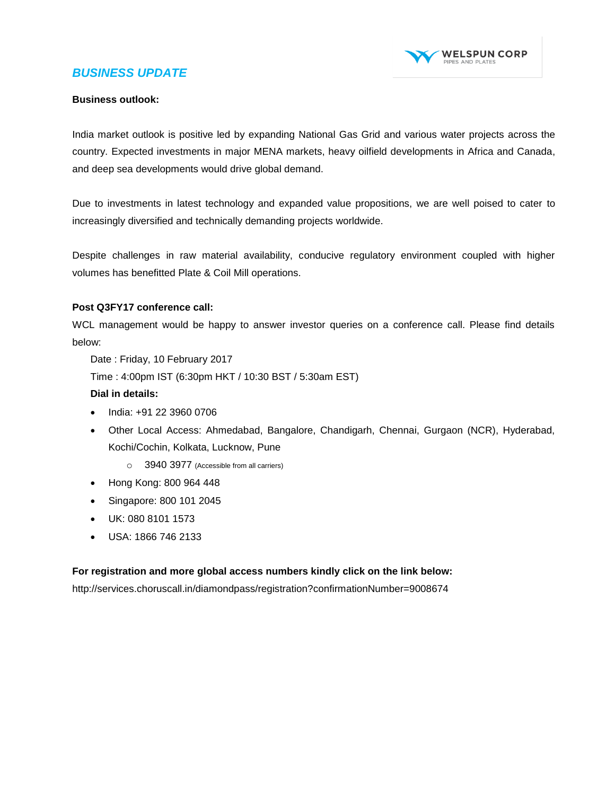

#### **Business outlook:**

India market outlook is positive led by expanding National Gas Grid and various water projects across the country. Expected investments in major MENA markets, heavy oilfield developments in Africa and Canada, and deep sea developments would drive global demand.

Due to investments in latest technology and expanded value propositions, we are well poised to cater to increasingly diversified and technically demanding projects worldwide.

Despite challenges in raw material availability, conducive regulatory environment coupled with higher volumes has benefitted Plate & Coil Mill operations.

#### **Post Q3FY17 conference call:**

WCL management would be happy to answer investor queries on a conference call. Please find details below:

Date : Friday, 10 February 2017

Time : 4:00pm IST (6:30pm HKT / 10:30 BST / 5:30am EST)

#### **Dial in details:**

- $\bullet$  India: +91 22 3960 0706
- Other Local Access: Ahmedabad, Bangalore, Chandigarh, Chennai, Gurgaon (NCR), Hyderabad, Kochi/Cochin, Kolkata, Lucknow, Pune
	- o 3940 3977 (Accessible from all carriers)
- Hong Kong: 800 964 448
- Singapore: 800 101 2045
- UK: 080 8101 1573
- USA: 1866 746 2133

#### **For registration and more global access numbers kindly click on the link below:**

<http://services.choruscall.in/diamondpass/registration?confirmationNumber=9008674>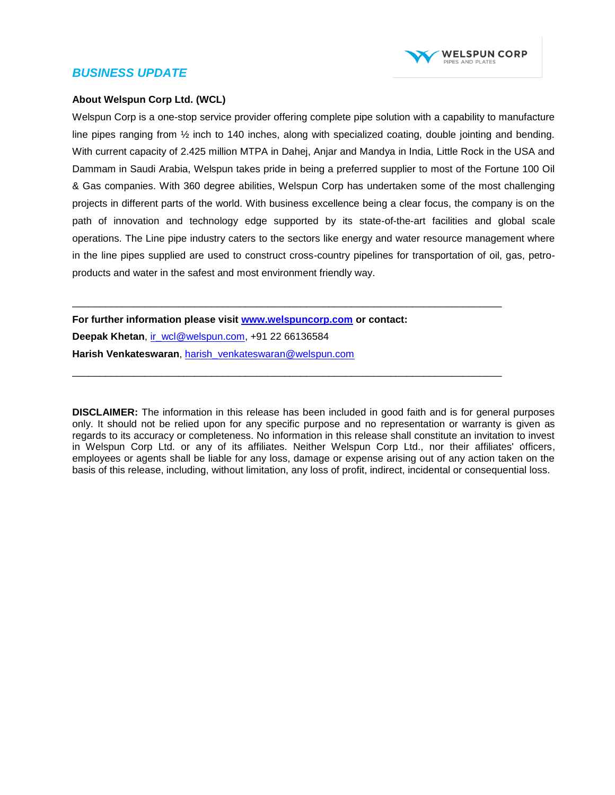

#### **About Welspun Corp Ltd. (WCL)**

Welspun Corp is a one-stop service provider offering complete pipe solution with a capability to manufacture line pipes ranging from  $\frac{1}{2}$  inch to 140 inches, along with specialized coating, double jointing and bending. With current capacity of 2.425 million MTPA in Dahej, Anjar and Mandya in India, Little Rock in the USA and Dammam in Saudi Arabia, Welspun takes pride in being a preferred supplier to most of the Fortune 100 Oil & Gas companies. With 360 degree abilities, Welspun Corp has undertaken some of the most challenging projects in different parts of the world. With business excellence being a clear focus, the company is on the path of innovation and technology edge supported by its state-of-the-art facilities and global scale operations. The Line pipe industry caters to the sectors like energy and water resource management where in the line pipes supplied are used to construct cross-country pipelines for transportation of oil, gas, petroproducts and water in the safest and most environment friendly way.

**For further information please visit [www.welspuncorp.com](http://www.welspuncorp.com/) or contact: Deepak Khetan**, [ir\\_wcl@welspun.com,](mailto:ir_wcl@welspun.com) +91 22 66136584 **Harish Venkateswaran**, [harish\\_venkateswaran@welspun.com](mailto:harish_venkateswaran@welspun.com) 

\_\_\_\_\_\_\_\_\_\_\_\_\_\_\_\_\_\_\_\_\_\_\_\_\_\_\_\_\_\_\_\_\_\_\_\_\_\_\_\_\_\_\_\_\_\_\_\_\_\_\_\_\_\_\_\_\_\_\_\_\_\_\_\_\_\_\_\_\_\_\_\_\_\_\_\_\_

\_\_\_\_\_\_\_\_\_\_\_\_\_\_\_\_\_\_\_\_\_\_\_\_\_\_\_\_\_\_\_\_\_\_\_\_\_\_\_\_\_\_\_\_\_\_\_\_\_\_\_\_\_\_\_\_\_\_\_\_\_\_\_\_\_\_\_\_\_\_\_\_\_\_\_\_\_

**DISCLAIMER:** The information in this release has been included in good faith and is for general purposes only. It should not be relied upon for any specific purpose and no representation or warranty is given as regards to its accuracy or completeness. No information in this release shall constitute an invitation to invest in Welspun Corp Ltd. or any of its affiliates. Neither Welspun Corp Ltd., nor their affiliates' officers, employees or agents shall be liable for any loss, damage or expense arising out of any action taken on the basis of this release, including, without limitation, any loss of profit, indirect, incidental or consequential loss.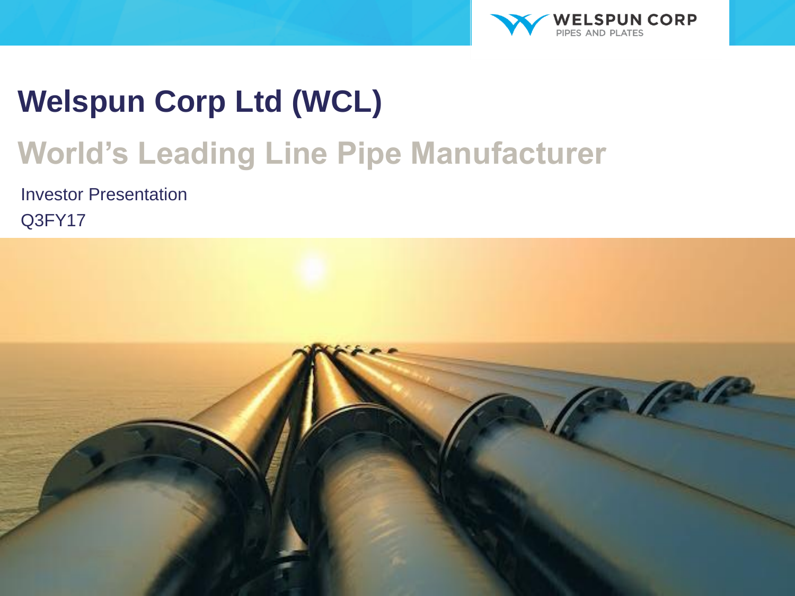

# **Welspun Corp Ltd (WCL)**

# **World's Leading Line Pipe Manufacturer**

Investor Presentation Q3FY17

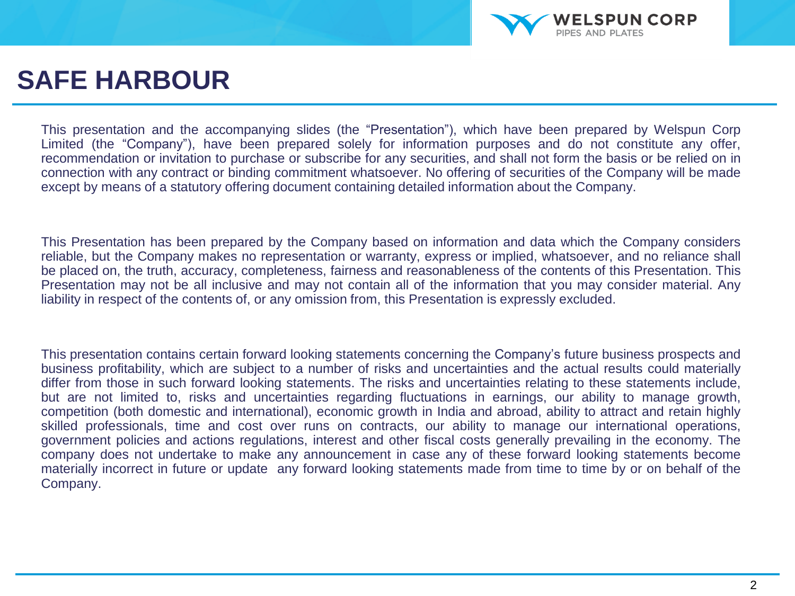

### **SAFE HARBOUR**

This presentation and the accompanying slides (the "Presentation"), which have been prepared by Welspun Corp Limited (the "Company"), have been prepared solely for information purposes and do not constitute any offer, recommendation or invitation to purchase or subscribe for any securities, and shall not form the basis or be relied on in connection with any contract or binding commitment whatsoever. No offering of securities of the Company will be made except by means of a statutory offering document containing detailed information about the Company.

This Presentation has been prepared by the Company based on information and data which the Company considers reliable, but the Company makes no representation or warranty, express or implied, whatsoever, and no reliance shall be placed on, the truth, accuracy, completeness, fairness and reasonableness of the contents of this Presentation. This Presentation may not be all inclusive and may not contain all of the information that you may consider material. Any liability in respect of the contents of, or any omission from, this Presentation is expressly excluded.

This presentation contains certain forward looking statements concerning the Company's future business prospects and business profitability, which are subject to a number of risks and uncertainties and the actual results could materially differ from those in such forward looking statements. The risks and uncertainties relating to these statements include, but are not limited to, risks and uncertainties regarding fluctuations in earnings, our ability to manage growth, competition (both domestic and international), economic growth in India and abroad, ability to attract and retain highly skilled professionals, time and cost over runs on contracts, our ability to manage our international operations, government policies and actions regulations, interest and other fiscal costs generally prevailing in the economy. The company does not undertake to make any announcement in case any of these forward looking statements become materially incorrect in future or update any forward looking statements made from time to time by or on behalf of the Company.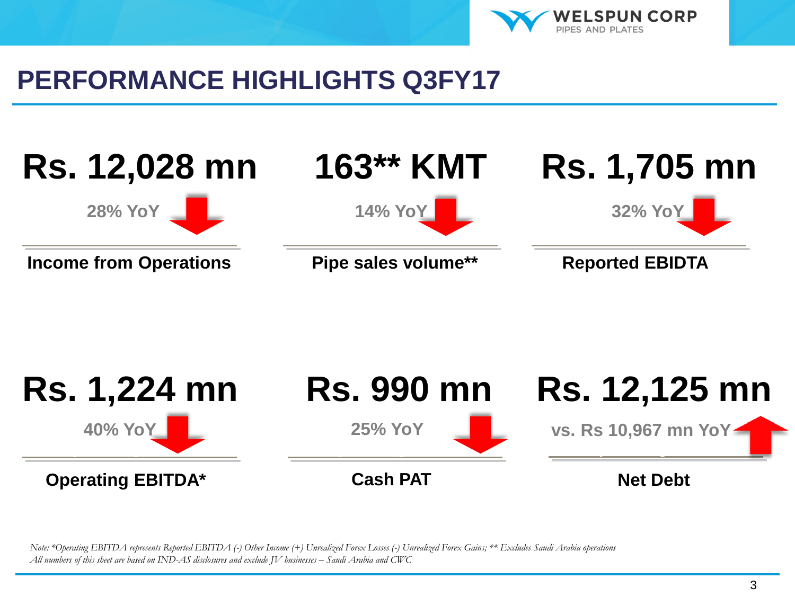

### **PERFORMANCE HIGHLIGHTS Q3FY17**





*Note: \*Operating EBITDA represents Reported EBITDA (-) Other Income (+) Unrealized Forex Losses (-) Unrealized Forex Gains; \*\* Excludes Saudi Arabia operations All numbers of this sheet are based on IND-AS disclosures and exclude JV businesses – Saudi Arabia and CWC*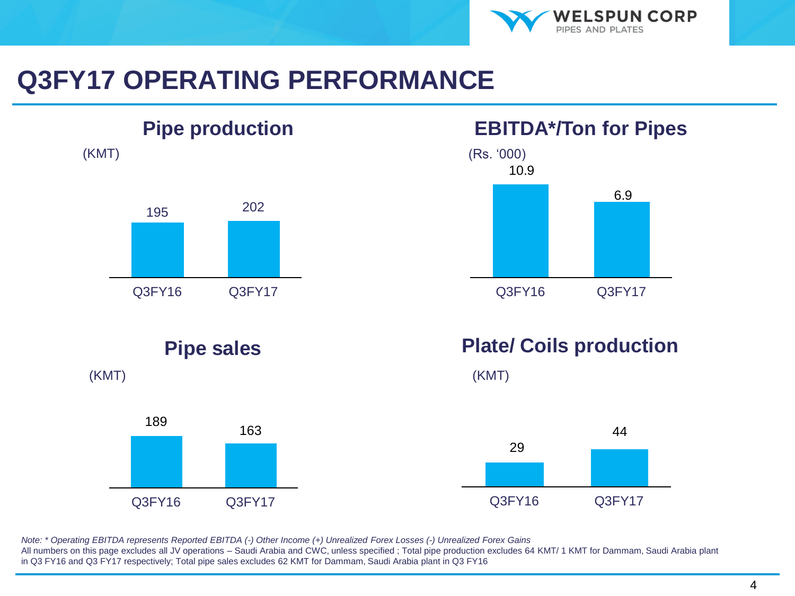

## **Q3FY17 OPERATING PERFORMANCE**



### **EBITDA\*/Ton for Pipes**



### **Plate/ Coils production**



*Note: \* Operating EBITDA represents Reported EBITDA (-) Other Income (+) Unrealized Forex Losses (-) Unrealized Forex Gains* All numbers on this page excludes all JV operations – Saudi Arabia and CWC, unless specified ; Total pipe production excludes 64 KMT/ 1 KMT for Dammam, Saudi Arabia plant in Q3 FY16 and Q3 FY17 respectively; Total pipe sales excludes 62 KMT for Dammam, Saudi Arabia plant in Q3 FY16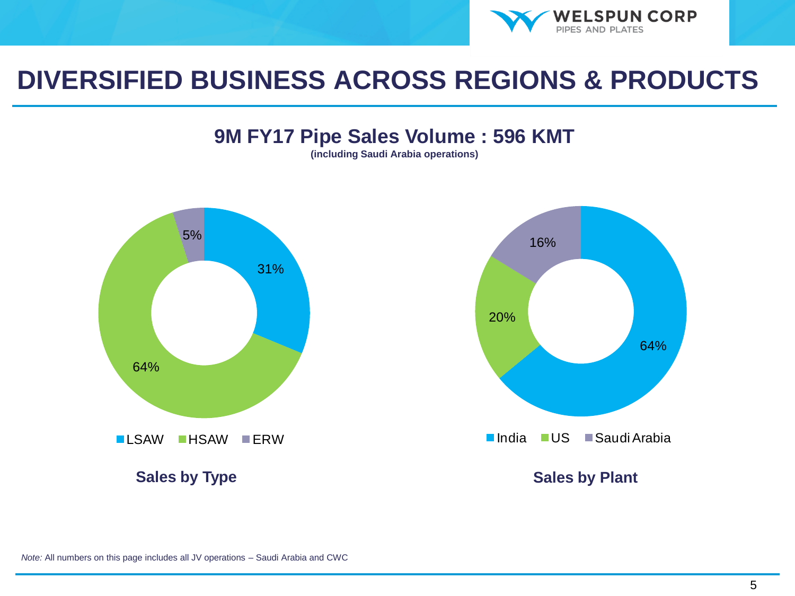

### **DIVERSIFIED BUSINESS ACROSS REGIONS & PRODUCTS**

### **9M FY17 Pipe Sales Volume : 596 KMT**

**(including Saudi Arabia operations)**



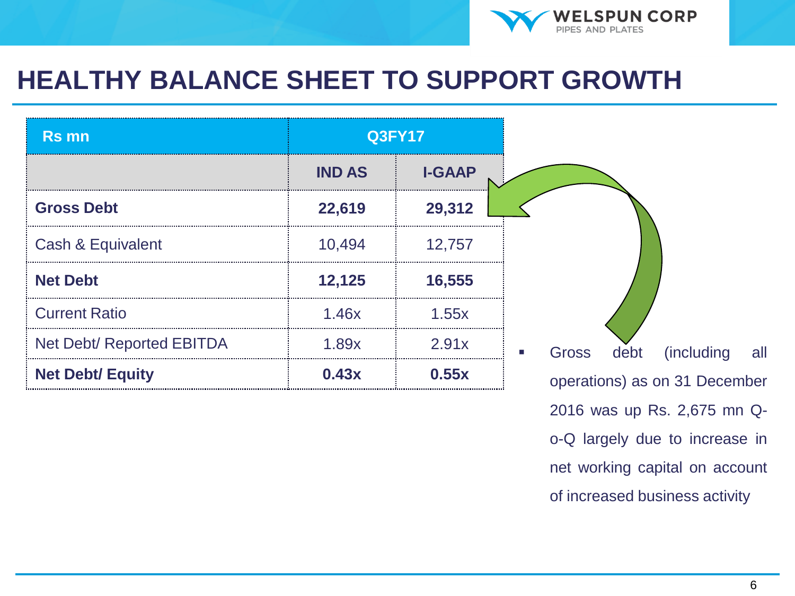

## **HEALTHY BALANCE SHEET TO SUPPORT GROWTH**

| <b>Rs mn</b>              | <b>Q3FY17</b> |               |
|---------------------------|---------------|---------------|
|                           | <b>IND AS</b> | <b>I-GAAP</b> |
| <b>Gross Debt</b>         | 22,619        | 29,312        |
| Cash & Equivalent         | 10,494        | 12,757        |
| <b>Net Debt</b>           | 12,125        | 16,555        |
| <b>Current Ratio</b>      | 1.46x         | 1.55x         |
| Net Debt/ Reported EBITDA | 1.89x         | 2.91x         |
| <b>Net Debt/ Equity</b>   | 0.43x         | 0.55x         |

2016 was up Rs. 2,675 mn Qo-Q largely due to increase in net working capital on account of increased business activity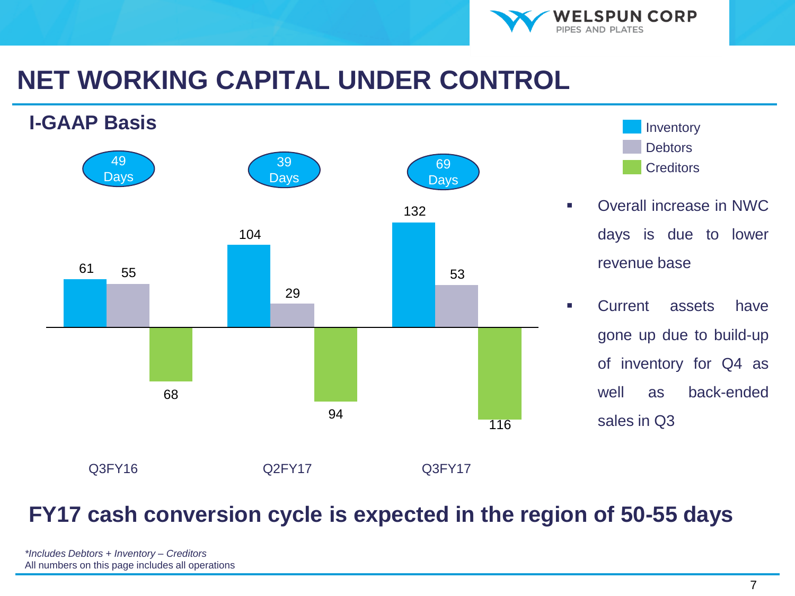

## **NET WORKING CAPITAL UNDER CONTROL**





- Overall increase in NWC days is due to lower revenue base
- **Exercise Current assets have** gone up due to build-up of inventory for Q4 as well as back-ended sales in Q3

### **FY17 cash conversion cycle is expected in the region of 50-55 days**

| *Includes Debtors + Inventory - Creditors        |
|--------------------------------------------------|
| All numbers on this page includes all operations |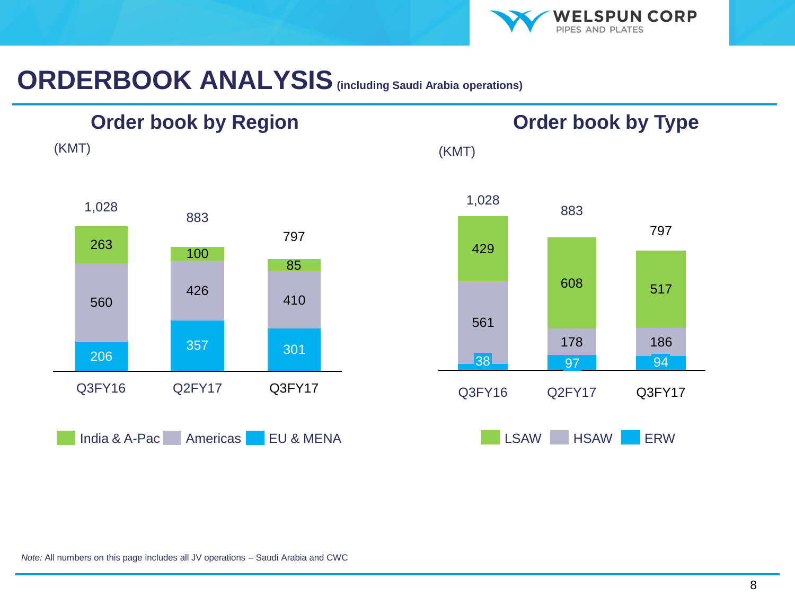

**Order book by Type**

## **ORDERBOOK ANALYSIS(including Saudi Arabia operations)**



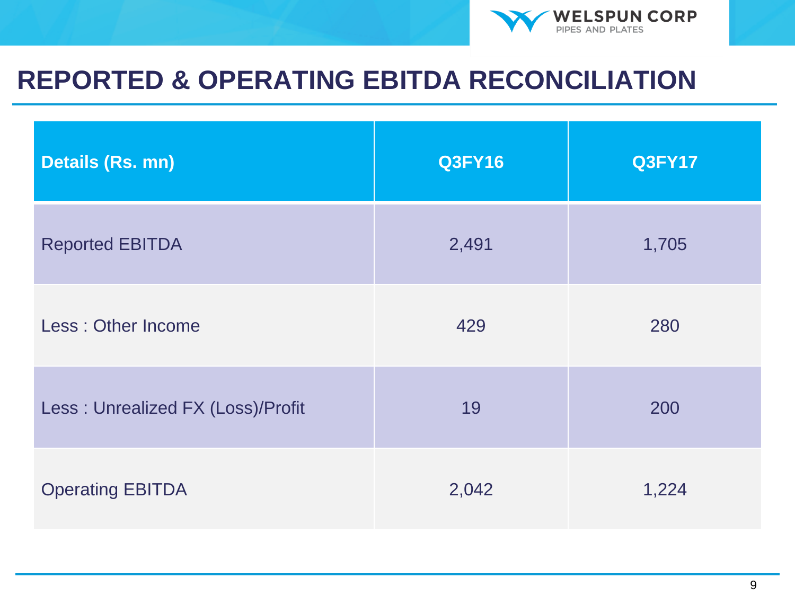

### **REPORTED & OPERATING EBITDA RECONCILIATION**

| Details (Rs. mn)                  | <b>Q3FY16</b> | <b>Q3FY17</b> |
|-----------------------------------|---------------|---------------|
| <b>Reported EBITDA</b>            | 2,491         | 1,705         |
| Less: Other Income                | 429           | 280           |
| Less: Unrealized FX (Loss)/Profit | 19            | 200           |
| <b>Operating EBITDA</b>           | 2,042         | 1,224         |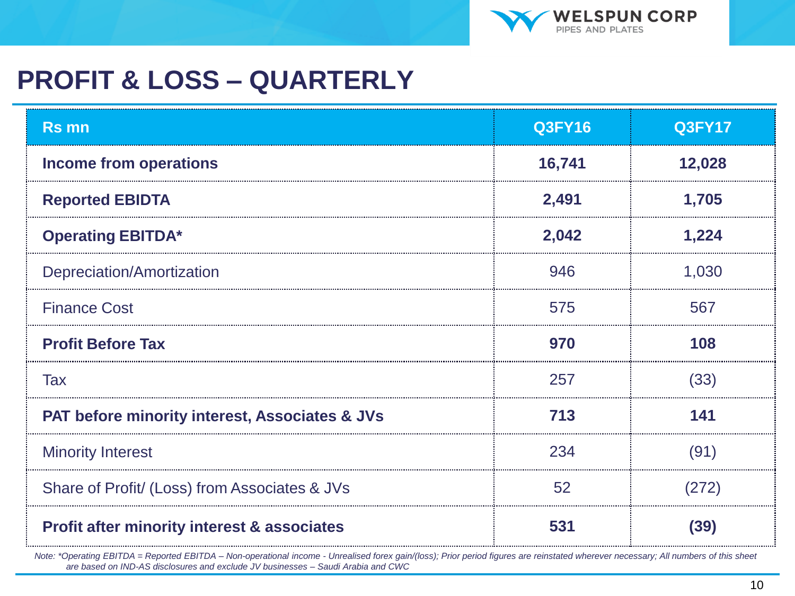

## **PROFIT & LOSS – QUARTERLY**

| <b>Rs mn</b>                                              | <b>Q3FY16</b> | <b>Q3FY17</b> |
|-----------------------------------------------------------|---------------|---------------|
| <b>Income from operations</b>                             | 16,741        | 12,028        |
| <b>Reported EBIDTA</b>                                    | 2,491         | 1,705         |
| <b>Operating EBITDA*</b>                                  | 2,042         | 1,224         |
| Depreciation/Amortization                                 | 946           | 1,030         |
| <b>Finance Cost</b>                                       | 575           | 567           |
| <b>Profit Before Tax</b>                                  | 970           | 108           |
| Tax                                                       | 257           | (33)          |
| <b>PAT before minority interest, Associates &amp; JVs</b> | 713           | 141           |
| <b>Minority Interest</b>                                  | 234           | (91)          |
| Share of Profit/ (Loss) from Associates & JVs             | 52            | (272)         |
| <b>Profit after minority interest &amp; associates</b>    | 531           | (39)          |

*Note: \*Operating EBITDA = Reported EBITDA – Non-operational income - Unrealised forex gain/(loss); Prior period figures are reinstated wherever necessary; All numbers of this sheet are based on IND-AS disclosures and exclude JV businesses – Saudi Arabia and CWC*